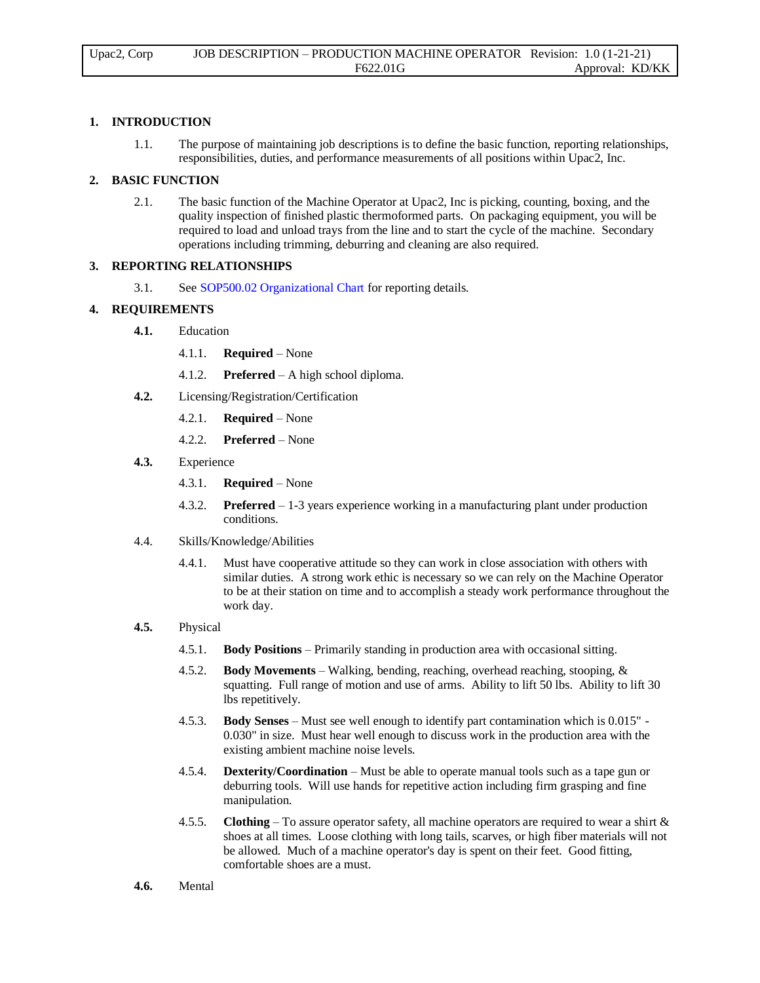## **1. INTRODUCTION**

1.1. The purpose of maintaining job descriptions is to define the basic function, reporting relationships, responsibilities, duties, and performance measurements of all positions within Upac2, Inc.

#### **2. BASIC FUNCTION**

2.1. The basic function of the Machine Operator at Upac2, Inc is picking, counting, boxing, and the quality inspection of finished plastic thermoformed parts. On packaging equipment, you will be required to load and unload trays from the line and to start the cycle of the machine. Secondary operations including trimming, deburring and cleaning are also required.

#### **3. REPORTING RELATIONSHIPS**

3.1. See SOP500.02 Organizational Chart for reporting details.

### **4. REQUIREMENTS**

- **4.1.** Education
	- 4.1.1. **Required** None
	- 4.1.2. **Preferred** A high school diploma.
- **4.2.** Licensing/Registration/Certification
	- 4.2.1. **Required** None
	- 4.2.2. **Preferred** None
- **4.3.** Experience
	- 4.3.1. **Required** None
	- 4.3.2. **Preferred** 1-3 years experience working in a manufacturing plant under production conditions.
- 4.4. Skills/Knowledge/Abilities
	- 4.4.1. Must have cooperative attitude so they can work in close association with others with similar duties. A strong work ethic is necessary so we can rely on the Machine Operator to be at their station on time and to accomplish a steady work performance throughout the work day.

## **4.5.** Physical

- 4.5.1. **Body Positions** Primarily standing in production area with occasional sitting.
- 4.5.2. **Body Movements** Walking, bending, reaching, overhead reaching, stooping, & squatting. Full range of motion and use of arms. Ability to lift 50 lbs. Ability to lift 30 lbs repetitively.
- 4.5.3. **Body Senses** Must see well enough to identify part contamination which is 0.015" 0.030" in size. Must hear well enough to discuss work in the production area with the existing ambient machine noise levels.
- 4.5.4. **Dexterity/Coordination** Must be able to operate manual tools such as a tape gun or deburring tools. Will use hands for repetitive action including firm grasping and fine manipulation.
- 4.5.5. **Clothing** To assure operator safety, all machine operators are required to wear a shirt & shoes at all times. Loose clothing with long tails, scarves, or high fiber materials will not be allowed. Much of a machine operator's day is spent on their feet. Good fitting, comfortable shoes are a must.
- **4.6.** Mental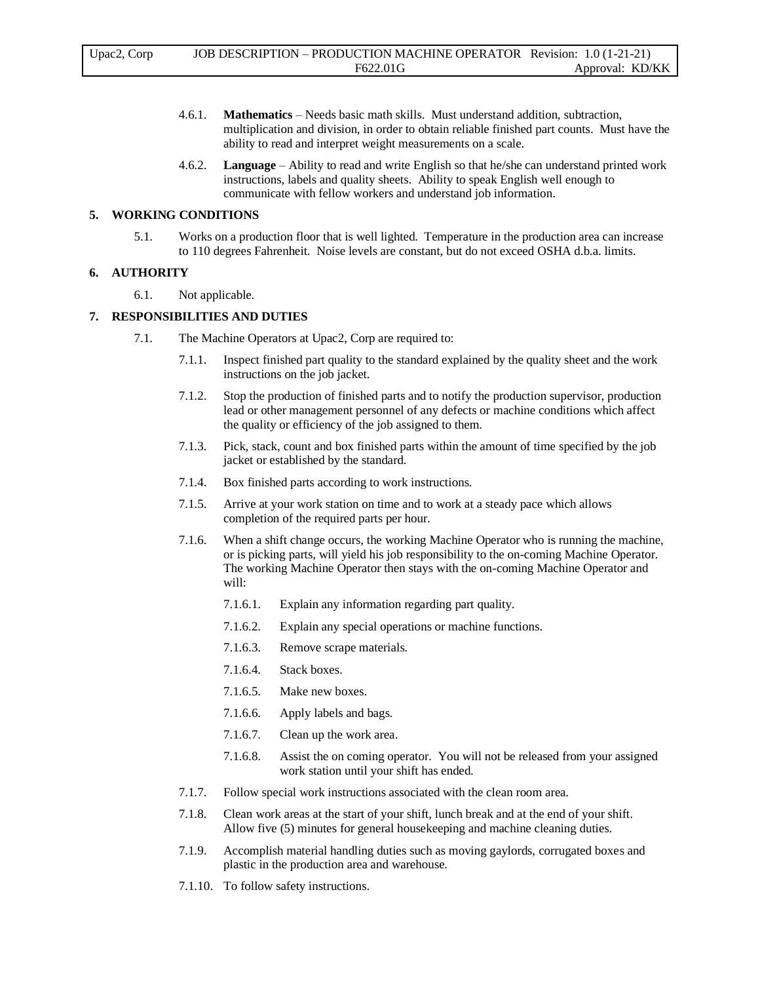- 4.6.1. **Mathematics** Needs basic math skills. Must understand addition, subtraction, multiplication and division, in order to obtain reliable finished part counts. Must have the ability to read and interpret weight measurements on a scale.
- 4.6.2. **Language** Ability to read and write English so that he/she can understand printed work instructions, labels and quality sheets. Ability to speak English well enough to communicate with fellow workers and understand job information.

#### **5. WORKING CONDITIONS**

5.1. Works on a production floor that is well lighted. Temperature in the production area can increase to 110 degrees Fahrenheit. Noise levels are constant, but do not exceed OSHA d.b.a. limits.

# **6. AUTHORITY**

6.1. Not applicable.

## **7. RESPONSIBILITIES AND DUTIES**

- 7.1. The Machine Operators at Upac2, Corp are required to:
	- 7.1.1. Inspect finished part quality to the standard explained by the quality sheet and the work instructions on the job jacket.
	- 7.1.2. Stop the production of finished parts and to notify the production supervisor, production lead or other management personnel of any defects or machine conditions which affect the quality or efficiency of the job assigned to them.
	- 7.1.3. Pick, stack, count and box finished parts within the amount of time specified by the job jacket or established by the standard.
	- 7.1.4. Box finished parts according to work instructions.
	- 7.1.5. Arrive at your work station on time and to work at a steady pace which allows completion of the required parts per hour.
	- 7.1.6. When a shift change occurs, the working Machine Operator who is running the machine, or is picking parts, will yield his job responsibility to the on-coming Machine Operator. The working Machine Operator then stays with the on-coming Machine Operator and will:
		- 7.1.6.1. Explain any information regarding part quality.
		- 7.1.6.2. Explain any special operations or machine functions.
		- 7.1.6.3. Remove scrape materials.
		- 7.1.6.4. Stack boxes.
		- 7.1.6.5. Make new boxes.
		- 7.1.6.6. Apply labels and bags.
		- 7.1.6.7. Clean up the work area.
		- 7.1.6.8. Assist the on coming operator. You will not be released from your assigned work station until your shift has ended.
	- 7.1.7. Follow special work instructions associated with the clean room area.
	- 7.1.8. Clean work areas at the start of your shift, lunch break and at the end of your shift. Allow five (5) minutes for general housekeeping and machine cleaning duties.
	- 7.1.9. Accomplish material handling duties such as moving gaylords, corrugated boxes and plastic in the production area and warehouse.
	- 7.1.10. To follow safety instructions.